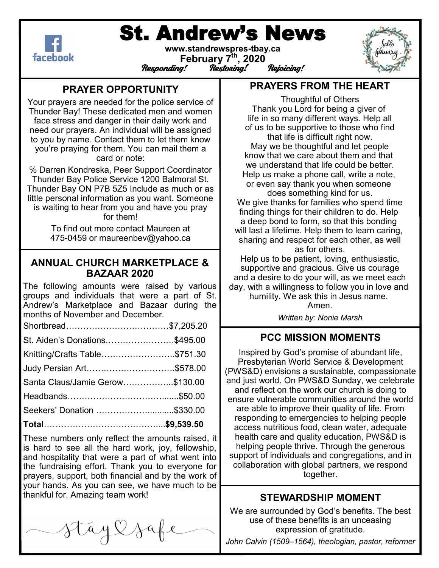

# St. Andrew's News



#### **www.standrewspres-tbay.ca February 7th, 2020** responding!<br>Responding! Restoring! Rejoicing!

## **PRAYER OPPORTUNITY**

Your prayers are needed for the police service of Thunder Bay! These dedicated men and women face stress and danger in their daily work and need our prayers. An individual will be assigned to you by name. Contact them to let them know you're praying for them. You can mail them a card or note:

℅ Darren Kondreska, Peer Support Coordinator Thunder Bay Police Service 1200 Balmoral St. Thunder Bay ON P7B 5Z5 Include as much or as little personal information as you want. Someone is waiting to hear from you and have you pray for them!

> To find out more contact Maureen at 475-0459 or maureenbev@yahoo.ca

## **ANNUAL CHURCH MARKETPLACE & BAZAAR 2020**

The following amounts were raised by various groups and individuals that were a part of St. Andrew's Marketplace and Bazaar during the months of November and December.

| Seekers' Donation \$330.00      |  |
|---------------------------------|--|
|                                 |  |
| Santa Claus/Jamie Gerow\$130.00 |  |
| Judy Persian Art\$578.00        |  |
| Knitting/Crafts Table\$751.30   |  |
| St. Aiden's Donations\$495.00   |  |
|                                 |  |

These numbers only reflect the amounts raised, it is hard to see all the hard work, joy, fellowship, and hospitality that were a part of what went into the fundraising effort. Thank you to everyone for prayers, support, both financial and by the work of your hands. As you can see, we have much to be thankful for. Amazing team work!

Staylsa

## **PRAYERS FROM THE HEART**

Thoughtful of Others Thank you Lord for being a giver of life in so many different ways. Help all of us to be supportive to those who find that life is difficult right now. May we be thoughtful and let people know that we care about them and that we understand that life could be better. Help us make a phone call, write a note, or even say thank you when someone does something kind for us. We give thanks for families who spend time finding things for their children to do. Help a deep bond to form, so that this bonding will last a lifetime. Help them to learn caring, sharing and respect for each other, as well as for others.

Help us to be patient, loving, enthusiastic, supportive and gracious. Give us courage and a desire to do your will, as we meet each day, with a willingness to follow you in love and humility. We ask this in Jesus name.

Amen. *Written by: Nonie Marsh*

## **PCC MISSION MOMENTS**

Inspired by God's promise of abundant life, Presbyterian World Service & Development (PWS&D) envisions a sustainable, compassionate and just world. On PWS&D Sunday, we celebrate and reflect on the work our church is doing to ensure vulnerable communities around the world are able to improve their quality of life. From responding to emergencies to helping people access nutritious food, clean water, adequate health care and quality education, PWS&D is helping people thrive. Through the generous support of individuals and congregations, and in collaboration with global partners, we respond together.

## **STEWARDSHIP MOMENT**

We are surrounded by God's benefits. The best use of these benefits is an unceasing expression of gratitude.

*John Calvin (1509–1564), theologian, pastor, reformer*